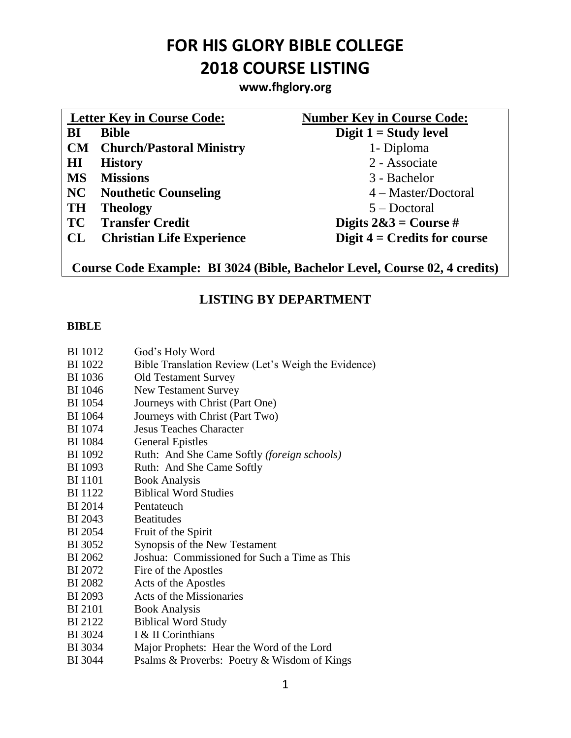**www.fhglory.org**

| <b>Letter Key in Course Code:</b> |                                                   | <b>Number Key in Course Code:</b>                        |
|-----------------------------------|---------------------------------------------------|----------------------------------------------------------|
| BI                                | <b>Bible</b>                                      | Digit $1 =$ Study level                                  |
|                                   | <b>CM</b> Church/Pastoral Ministry                | 1- Diploma                                               |
| HI                                | <b>History</b>                                    | 2 - Associate                                            |
| <b>MS</b>                         | <b>Missions</b>                                   | 3 - Bachelor                                             |
| NC                                | <b>Nouthetic Counseling</b>                       | $4 - Master/Doctoral$                                    |
| <b>TH</b>                         | <b>Theology</b>                                   | $5 - Doctoral$                                           |
| <b>TC</b>                         | <b>Transfer Credit</b>                            | Digits $2\&3 = \text{Course } \#$                        |
| CL                                | <b>Christian Life Experience</b>                  | Digit $4 =$ Credits for course                           |
| $\sim$                            | <b>DIAAA</b> (DII)<br>$\sim$ $\blacksquare$<br>п. | $\mathbf{R}$ ii $\mathbf{r}$ in $\alpha$<br>$\mathbf{A}$ |

**Course Code Example: BI 3024 (Bible, Bachelor Level, Course 02, 4 credits)**

### **LISTING BY DEPARTMENT**

#### **BIBLE**

- BI 1012 God's Holy Word
- BI 1022 Bible Translation Review (Let's Weigh the Evidence)
- BI 1036 Old Testament Survey
- BI 1046 New Testament Survey
- BI 1054 Journeys with Christ (Part One)
- BI 1064 Journeys with Christ (Part Two)
- BI 1074 Jesus Teaches Character
- BI 1084 General Epistles
- BI 1092 Ruth: And She Came Softly *(foreign schools)*
- BI 1093 Ruth: And She Came Softly
- BI 1101 Book Analysis
- BI 1122 Biblical Word Studies
- BI 2014 Pentateuch
- BI 2043 Beatitudes
- BI 2054 Fruit of the Spirit
- BI 3052 Synopsis of the New Testament
- BI 2062 Joshua: Commissioned for Such a Time as This
- BI 2072 Fire of the Apostles
- BI 2082 Acts of the Apostles
- BI 2093 Acts of the Missionaries
- BI 2101 Book Analysis
- BI 2122 Biblical Word Study
- BI 3024 I & II Corinthians
- BI 3034 Major Prophets: Hear the Word of the Lord
- BI 3044 Psalms & Proverbs: Poetry & Wisdom of Kings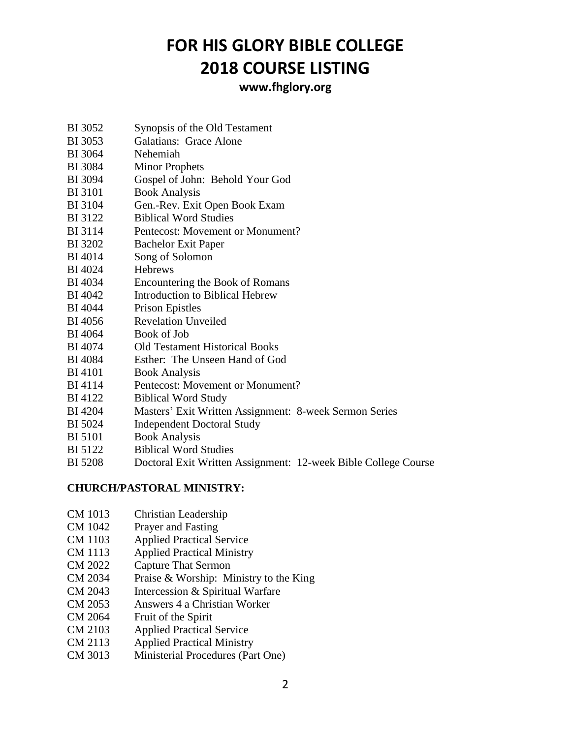### **www.fhglory.org**

- BI 3052 Synopsis of the Old Testament
- BI 3053 Galatians: Grace Alone
- BI 3064 Nehemiah
- BI 3084 Minor Prophets
- BI 3094 Gospel of John: Behold Your God
- BI 3101 Book Analysis
- BI 3104 Gen.-Rev. Exit Open Book Exam
- BI 3122 Biblical Word Studies
- BI 3114 Pentecost: Movement or Monument?
- BI 3202 Bachelor Exit Paper
- BI 4014 Song of Solomon
- BI 4024 Hebrews
- BI 4034 Encountering the Book of Romans
- BI 4042 Introduction to Biblical Hebrew
- BI 4044 Prison Epistles
- BI 4056 Revelation Unveiled
- BI 4064 Book of Job
- BI 4074 Old Testament Historical Books
- BI 4084 Esther: The Unseen Hand of God
- BI 4101 Book Analysis
- BI 4114 Pentecost: Movement or Monument?
- BI 4122 Biblical Word Study
- BI 4204 Masters' Exit Written Assignment: 8-week Sermon Series
- BI 5024 Independent Doctoral Study
- BI 5101 Book Analysis
- BI 5122 Biblical Word Studies
- BI 5208 Doctoral Exit Written Assignment: 12-week Bible College Course

#### **CHURCH/PASTORAL MINISTRY:**

- CM 1013 Christian Leadership
- CM 1042 Prayer and Fasting
- CM 1103 Applied Practical Service
- CM 1113 Applied Practical Ministry
- CM 2022 Capture That Sermon
- CM 2034 Praise & Worship: Ministry to the King
- CM 2043 Intercession & Spiritual Warfare
- CM 2053 Answers 4 a Christian Worker
- CM 2064 Fruit of the Spirit
- CM 2103 Applied Practical Service
- CM 2113 Applied Practical Ministry
- CM 3013 Ministerial Procedures (Part One)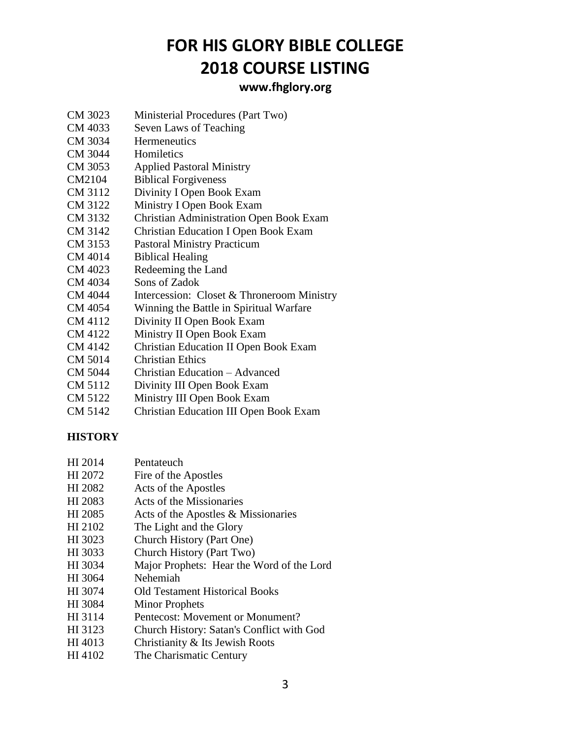### **www.fhglory.org**

- CM 3023 Ministerial Procedures (Part Two)
- CM 4033 Seven Laws of Teaching
- CM 3034 Hermeneutics
- CM 3044 Homiletics
- CM 3053 Applied Pastoral Ministry
- CM2104 Biblical Forgiveness
- CM 3112 Divinity I Open Book Exam
- CM 3122 Ministry I Open Book Exam
- CM 3132 Christian Administration Open Book Exam
- CM 3142 Christian Education I Open Book Exam
- CM 3153 Pastoral Ministry Practicum
- CM 4014 Biblical Healing
- CM 4023 Redeeming the Land
- CM 4034 Sons of Zadok
- CM 4044 Intercession: Closet & Throneroom Ministry
- CM 4054 Winning the Battle in Spiritual Warfare
- CM 4112 Divinity II Open Book Exam
- CM 4122 Ministry II Open Book Exam
- CM 4142 Christian Education II Open Book Exam
- CM 5014 Christian Ethics
- CM 5044 Christian Education Advanced
- CM 5112 Divinity III Open Book Exam
- CM 5122 Ministry III Open Book Exam
- CM 5142 Christian Education III Open Book Exam

#### **HISTORY**

- HI 2072 Fire of the Apostles
- HI 2082 Acts of the Apostles
- HI 2083 Acts of the Missionaries
- HI 2085 Acts of the Apostles & Missionaries
- HI 2102 The Light and the Glory
- HI 3023 Church History (Part One)
- HI 3033 Church History (Part Two)
- HI 3034 Major Prophets: Hear the Word of the Lord
- HI 3064 Nehemiah
- HI 3074 Old Testament Historical Books
- HI 3084 Minor Prophets
- HI 3114 Pentecost: Movement or Monument?
- HI 3123 Church History: Satan's Conflict with God
- HI 4013 Christianity & Its Jewish Roots
- HI 4102 The Charismatic Century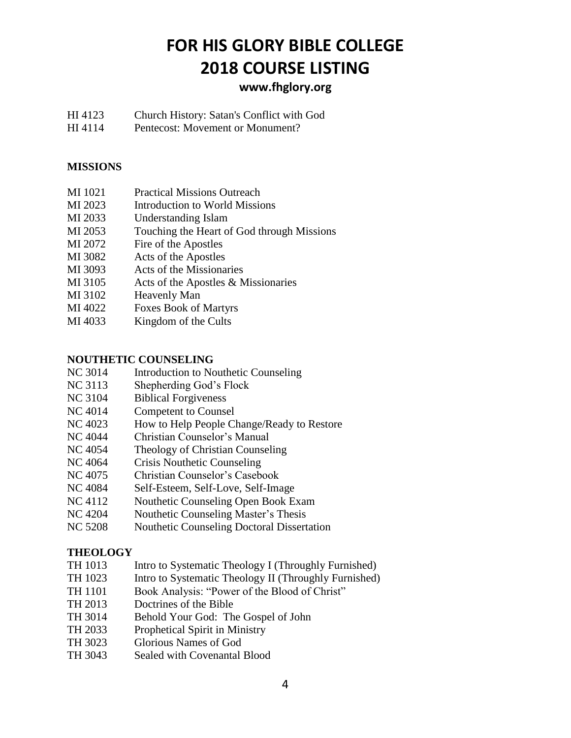### **www.fhglory.org**

- HI 4123 Church History: Satan's Conflict with God
- HI 4114 Pentecost: Movement or Monument?

#### **MISSIONS**

- MI 1021 Practical Missions Outreach
- MI 2023 Introduction to World Missions
- MI 2033 Understanding Islam
- MI 2053 Touching the Heart of God through Missions
- MI 2072 Fire of the Apostles
- MI 3082 Acts of the Apostles
- MI 3093 Acts of the Missionaries
- MI 3105 Acts of the Apostles & Missionaries
- MI 3102 Heavenly Man
- MI 4022 Foxes Book of Martyrs
- MI 4033 Kingdom of the Cults

#### **NOUTHETIC COUNSELING**

- NC 3014 Introduction to Nouthetic Counseling
- NC 3113 Shepherding God's Flock
- NC 3104 Biblical Forgiveness
- NC 4014 Competent to Counsel
- NC 4023 How to Help People Change/Ready to Restore
- NC 4044 Christian Counselor's Manual
- NC 4054 Theology of Christian Counseling
- NC 4064 Crisis Nouthetic Counseling
- NC 4075 Christian Counselor's Casebook
- NC 4084 Self-Esteem, Self-Love, Self-Image
- NC 4112 Nouthetic Counseling Open Book Exam
- NC 4204 Nouthetic Counseling Master's Thesis
- NC 5208 Nouthetic Counseling Doctoral Dissertation

#### **THEOLOGY**

- TH 1013 Intro to Systematic Theology I (Throughly Furnished)
- TH 1023 Intro to Systematic Theology II (Throughly Furnished)
- TH 1101 Book Analysis: "Power of the Blood of Christ"
- TH 2013 Doctrines of the Bible
- TH 3014 Behold Your God: The Gospel of John
- TH 2033 Prophetical Spirit in Ministry
- TH 3023 Glorious Names of God
- TH 3043 Sealed with Covenantal Blood